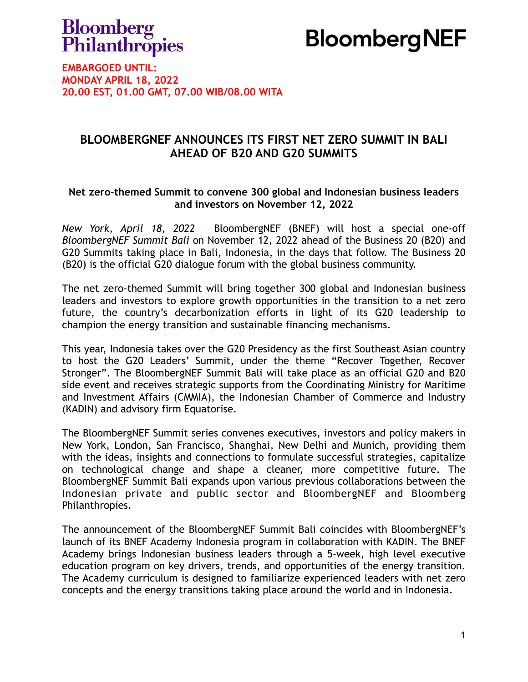# **Bloomberg<br>Philanthropies**

## **BloombergNEF**

**EMBARGOED UNTIL: MONDAY APRIL 18, 2022 20.00 EST, 01.00 GMT, 07.00 WIB/08.00 WITA**

### **BLOOMBERGNEF ANNOUNCES ITS FIRST NET ZERO SUMMIT IN BALI AHEAD OF B20 AND G20 SUMMITS**

### **Net zero-themed Summit to convene 300 global and Indonesian business leaders and investors on November 12, 2022**

*New York, April 18, 2022* – BloombergNEF (BNEF) will host a special one-off *BloombergNEF Summit Bali* on November 12, 2022 ahead of the Business 20 (B20) and G20 Summits taking place in Bali, Indonesia, in the days that follow. The Business 20 (B20) is the official G20 dialogue forum with the global business community.

The net zero-themed Summit will bring together 300 global and Indonesian business leaders and investors to explore growth opportunities in the transition to a net zero future, the country's decarbonization efforts in light of its G20 leadership to champion the energy transition and sustainable financing mechanisms.

This year, Indonesia takes over the G20 Presidency as the first Southeast Asian country to host the G20 Leaders' Summit, under the theme "Recover Together, Recover Stronger". The BloombergNEF Summit Bali will take place as an official G20 and B20 side event and receives strategic supports from the Coordinating Ministry for Maritime and Investment Affairs (CMMIA), the Indonesian Chamber of Commerce and Industry (KADIN) and advisory firm Equatorise.

The BloombergNEF Summit series convenes executives, investors and policy makers in New York, London, San Francisco, Shanghai, New Delhi and Munich, providing them with the ideas, insights and connections to formulate successful strategies, capitalize on technological change and shape a cleaner, more competitive future. The BloombergNEF Summit Bali expands upon various previous collaborations between the Indonesian private and public sector and BloombergNEF and Bloomberg Philanthropies.

The announcement of the BloombergNEF Summit Bali coincides with BloombergNEF's launch of its BNEF Academy Indonesia program in collaboration with KADIN. The BNEF Academy brings Indonesian business leaders through a 5-week, high level executive education program on key drivers, trends, and opportunities of the energy transition. The Academy curriculum is designed to familiarize experienced leaders with net zero concepts and the energy transitions taking place around the world and in Indonesia.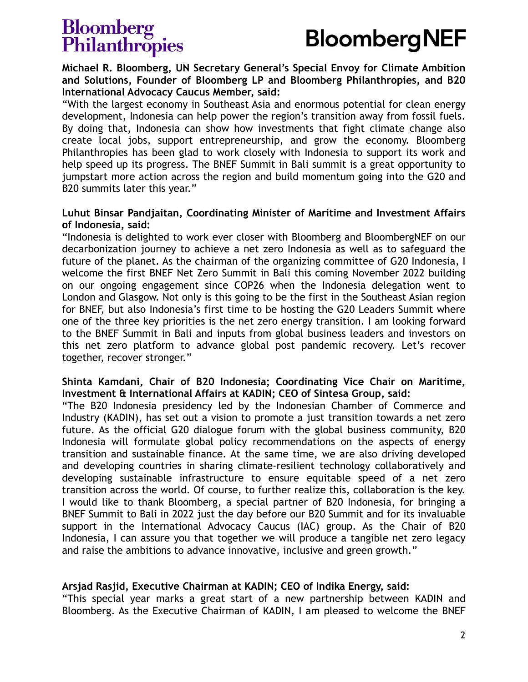### **Bloomberg Philanthropies**

**BloombergNEF** 

### **Michael R. Bloomberg, UN Secretary General's Special Envoy for Climate Ambition and Solutions, Founder of Bloomberg LP and Bloomberg Philanthropies, and B20 International Advocacy Caucus Member, said:**

"With the largest economy in Southeast Asia and enormous potential for clean energy development, Indonesia can help power the region's transition away from fossil fuels. By doing that, Indonesia can show how investments that fight climate change also create local jobs, support entrepreneurship, and grow the economy. Bloomberg Philanthropies has been glad to work closely with Indonesia to support its work and help speed up its progress. The BNEF Summit in Bali summit is a great opportunity to jumpstart more action across the region and build momentum going into the G20 and B20 summits later this year."

### **Luhut Binsar Pandjaitan, Coordinating Minister of Maritime and Investment Affairs of Indonesia, said:**

"Indonesia is delighted to work ever closer with Bloomberg and BloombergNEF on our decarbonization journey to achieve a net zero Indonesia as well as to safeguard the future of the planet. As the chairman of the organizing committee of G20 Indonesia, I welcome the first BNEF Net Zero Summit in Bali this coming November 2022 building on our ongoing engagement since COP26 when the Indonesia delegation went to London and Glasgow. Not only is this going to be the first in the Southeast Asian region for BNEF, but also Indonesia's first time to be hosting the G20 Leaders Summit where one of the three key priorities is the net zero energy transition. I am looking forward to the BNEF Summit in Bali and inputs from global business leaders and investors on this net zero platform to advance global post pandemic recovery. Let's recover together, recover stronger."

### **Shinta Kamdani, Chair of B20 Indonesia; Coordinating Vice Chair on Maritime, Investment & International Affairs at KADIN; CEO of Sintesa Group, said:**

"The B20 Indonesia presidency led by the Indonesian Chamber of Commerce and Industry (KADIN), has set out a vision to promote a just transition towards a net zero future. As the official G20 dialogue forum with the global business community, B20 Indonesia will formulate global policy recommendations on the aspects of energy transition and sustainable finance. At the same time, we are also driving developed and developing countries in sharing climate-resilient technology collaboratively and developing sustainable infrastructure to ensure equitable speed of a net zero transition across the world. Of course, to further realize this, collaboration is the key. I would like to thank Bloomberg, a special partner of B20 Indonesia, for bringing a BNEF Summit to Bali in 2022 just the day before our B20 Summit and for its invaluable support in the International Advocacy Caucus (IAC) group. As the Chair of B20 Indonesia, I can assure you that together we will produce a tangible net zero legacy and raise the ambitions to advance innovative, inclusive and green growth."

### **Arsjad Rasjid, Executive Chairman at KADIN; CEO of Indika Energy, said:**

"This special year marks a great start of a new partnership between KADIN and Bloomberg. As the Executive Chairman of KADIN, I am pleased to welcome the BNEF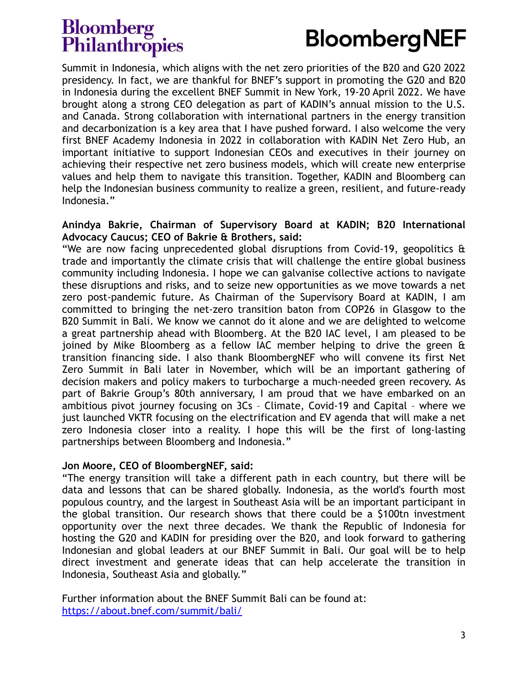## **Bloomberg** Philanthropies

# **BloombergNEF**

Summit in Indonesia, which aligns with the net zero priorities of the B20 and G20 2022 presidency. In fact, we are thankful for BNEF's support in promoting the G20 and B20 in Indonesia during the excellent BNEF Summit in New York, 19-20 April 2022. We have brought along a strong CEO delegation as part of KADIN's annual mission to the U.S. and Canada. Strong collaboration with international partners in the energy transition and decarbonization is a key area that I have pushed forward. I also welcome the very first BNEF Academy Indonesia in 2022 in collaboration with KADIN Net Zero Hub, an important initiative to support Indonesian CEOs and executives in their journey on achieving their respective net zero business models, which will create new enterprise values and help them to navigate this transition. Together, KADIN and Bloomberg can help the Indonesian business community to realize a green, resilient, and future-ready Indonesia."

### **Anindya Bakrie, Chairman of Supervisory Board at KADIN; B20 International Advocacy Caucus; CEO of Bakrie & Brothers, said:**

"We are now facing unprecedented global disruptions from Covid-19, geopolitics & trade and importantly the climate crisis that will challenge the entire global business community including Indonesia. I hope we can galvanise collective actions to navigate these disruptions and risks, and to seize new opportunities as we move towards a net zero post-pandemic future. As Chairman of the Supervisory Board at KADIN, I am committed to bringing the net-zero transition baton from COP26 in Glasgow to the B20 Summit in Bali. We know we cannot do it alone and we are delighted to welcome a great partnership ahead with Bloomberg. At the B20 IAC level, I am pleased to be joined by Mike Bloomberg as a fellow IAC member helping to drive the green & transition financing side. I also thank BloombergNEF who will convene its first Net Zero Summit in Bali later in November, which will be an important gathering of decision makers and policy makers to turbocharge a much-needed green recovery. As part of Bakrie Group's 80th anniversary, I am proud that we have embarked on an ambitious pivot journey focusing on 3Cs – Climate, Covid-19 and Capital – where we just launched VKTR focusing on the electrification and EV agenda that will make a net zero Indonesia closer into a reality. I hope this will be the first of long-lasting partnerships between Bloomberg and Indonesia."

### **Jon Moore, CEO of BloombergNEF, said:**

"The energy transition will take a different path in each country, but there will be data and lessons that can be shared globally. Indonesia, as the world's fourth most populous country, and the largest in Southeast Asia will be an important participant in the global transition. Our research shows that there could be a \$100tn investment opportunity over the next three decades. We thank the Republic of Indonesia for hosting the G20 and KADIN for presiding over the B20, and look forward to gathering Indonesian and global leaders at our BNEF Summit in Bali. Our goal will be to help direct investment and generate ideas that can help accelerate the transition in Indonesia, Southeast Asia and globally."

Further information about the BNEF Summit Bali can be found at: <https://about.bnef.com/summit/bali/>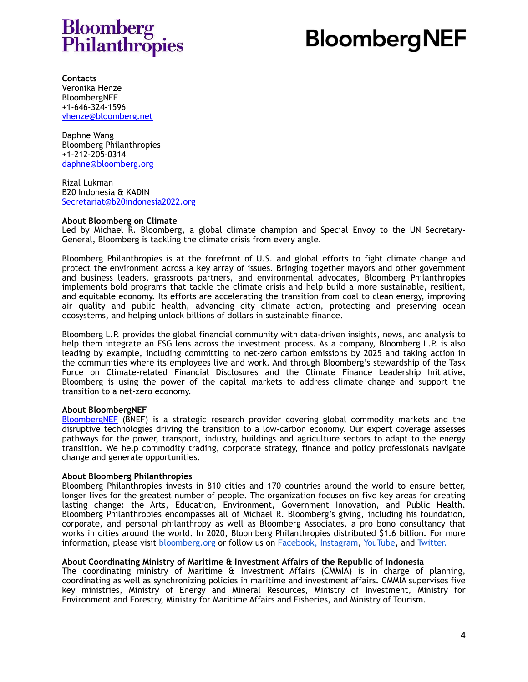# **Bloomberg<br>Philanthropies**

## **BloombergNEF**

**Contacts** Veronika Henze BloombergNEF +1-646-324-1596 [vhenze@bloomberg.net](mailto:vhenze@bloomberg.net)

Daphne Wang Bloomberg Philanthropies +1-212-205-0314 [daphne@bloomberg.org](mailto:daphne@bloomberg.org)

Rizal Lukman B20 Indonesia & KADIN [Secretariat@b20indonesia2022.org](mailto:Secretariat@b20indonesia2022.org)

### **About Bloomberg on Climate**

Led by Michael R. Bloomberg, a global climate champion and Special Envoy to the UN Secretary-General, Bloomberg is tackling the climate crisis from every angle.

Bloomberg Philanthropies is at the forefront of U.S. and global efforts to fight climate change and protect the environment across a key array of issues. Bringing together mayors and other government and business leaders, grassroots partners, and environmental advocates, Bloomberg Philanthropies implements bold programs that tackle the climate crisis and help build a more sustainable, resilient, and equitable economy. Its efforts are accelerating the transition from coal to clean energy, improving air quality and public health, advancing city climate action, protecting and preserving ocean ecosystems, and helping unlock billions of dollars in sustainable finance.

Bloomberg L.P. provides the global financial community with data-driven insights, news, and analysis to help them integrate an ESG lens across the investment process. As a company, Bloomberg L.P. is also leading by example, including committing to net-zero carbon emissions by 2025 and taking action in the communities where its employees live and work. And through Bloomberg's stewardship of the Task Force on Climate-related Financial Disclosures and the Climate Finance Leadership Initiative, Bloomberg is using the power of the capital markets to address climate change and support the transition to a net-zero economy.

### **About BloombergNEF**

[BloombergNEF](https://about.bnef.com/) (BNEF) is a strategic research provider covering global commodity markets and the disruptive technologies driving the transition to a low-carbon economy. Our expert coverage assesses pathways for the power, transport, industry, buildings and agriculture sectors to adapt to the energy transition. We help commodity trading, corporate strategy, finance and policy professionals navigate change and generate opportunities.

### **About Bloomberg Philanthropies**

Bloomberg Philanthropies invests in 810 cities and 170 countries around the world to ensure better, longer lives for the greatest number of people. The organization focuses on five key areas for creating lasting change: the Arts, Education, Environment, Government Innovation, and Public Health. Bloomberg Philanthropies encompasses all of Michael R. Bloomberg's giving, including his foundation, corporate, and personal philanthropy as well as Bloomberg Associates, a pro bono consultancy that works in cities around the world. In 2020, Bloomberg Philanthropies distributed \$1.6 billion. For more information, please visit [bloomberg.org](http://bloomberg.org/) or follow us on [Facebook,](https://www.facebook.com/bloombergdotorg/) [Instagram](https://www.instagram.com/bloombergdotorg/?hl=en), [YouTube](https://www.youtube.com/channel/UCTBGx5nppO4o_fOy7hqgyMg), and [Twitter.](https://twitter.com/BloombergDotOrg?ref_src=twsrc%255Egoogle%257Ctwcamp%255Eserp%257Ctwgr%255Eauthor)

### **About Coordinating Ministry of Maritime & Investment Affairs of the Republic of Indonesia**

The coordinating ministry of Maritime & Investment Affairs (CMMIA) is in charge of planning, coordinating as well as synchronizing policies in maritime and investment affairs. CMMIA supervises five key ministries, Ministry of Energy and Mineral Resources, Ministry of Investment, Ministry for Environment and Forestry, Ministry for Maritime Affairs and Fisheries, and Ministry of Tourism.